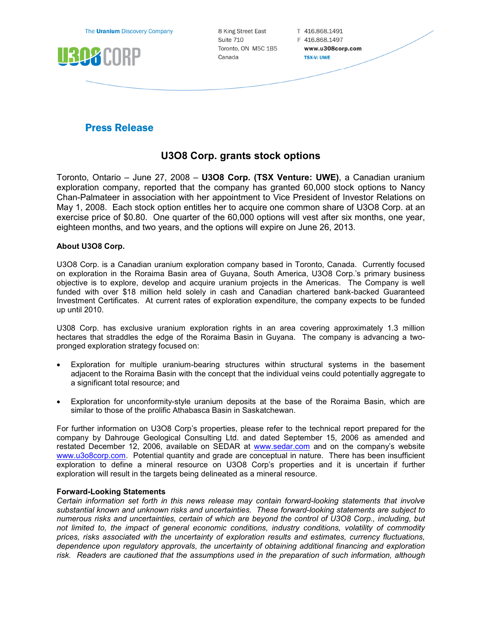The **Uranium** Discovery Company



8 King Street East Suite 710 Toronto, ON M5C 1B5 Canada

T 416.868.1491 F 416.868.1497 www.u308corp.com **TSX-V: UWE** 

## **Press Release**

## U3O8 Corp. grants stock options

Toronto, Ontario – June 27, 2008 – U3O8 Corp. (TSX Venture: UWE), a Canadian uranium exploration company, reported that the company has granted 60,000 stock options to Nancy Chan-Palmateer in association with her appointment to Vice President of Investor Relations on May 1, 2008. Each stock option entitles her to acquire one common share of U3O8 Corp. at an exercise price of \$0.80. One quarter of the 60,000 options will vest after six months, one year, eighteen months, and two years, and the options will expire on June 26, 2013.

## About U3O8 Corp.

U3O8 Corp. is a Canadian uranium exploration company based in Toronto, Canada. Currently focused on exploration in the Roraima Basin area of Guyana, South America, U3O8 Corp.'s primary business objective is to explore, develop and acquire uranium projects in the Americas. The Company is well funded with over \$18 million held solely in cash and Canadian chartered bank-backed Guaranteed Investment Certificates. At current rates of exploration expenditure, the company expects to be funded up until 2010.

U308 Corp. has exclusive uranium exploration rights in an area covering approximately 1.3 million hectares that straddles the edge of the Roraima Basin in Guyana. The company is advancing a twopronged exploration strategy focused on:

- Exploration for multiple uranium-bearing structures within structural systems in the basement adjacent to the Roraima Basin with the concept that the individual veins could potentially aggregate to a significant total resource; and
- Exploration for unconformity-style uranium deposits at the base of the Roraima Basin, which are similar to those of the prolific Athabasca Basin in Saskatchewan.

For further information on U3O8 Corp's properties, please refer to the technical report prepared for the company by Dahrouge Geological Consulting Ltd. and dated September 15, 2006 as amended and restated December 12, 2006, available on SEDAR at www.sedar.com and on the company's website www.u3o8corp.com. Potential quantity and grade are conceptual in nature. There has been insufficient exploration to define a mineral resource on U3O8 Corp's properties and it is uncertain if further exploration will result in the targets being delineated as a mineral resource.

## Forward-Looking Statements

Certain information set forth in this news release may contain forward-looking statements that involve substantial known and unknown risks and uncertainties. These forward-looking statements are subject to numerous risks and uncertainties, certain of which are beyond the control of U3O8 Corp., including, but not limited to, the impact of general economic conditions, industry conditions, volatility of commodity prices, risks associated with the uncertainty of exploration results and estimates, currency fluctuations, dependence upon regulatory approvals, the uncertainty of obtaining additional financing and exploration risk. Readers are cautioned that the assumptions used in the preparation of such information, although